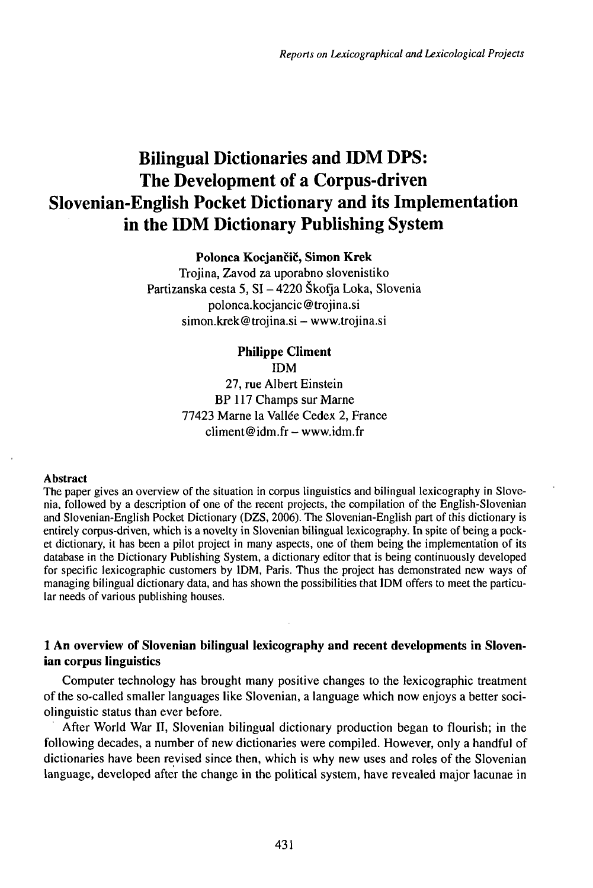# **Bilingual Dictionaries and IDM DPS:** The Development of a Corpus-driven Slovenian-English Pocket Dictionary and its Implementation<br>in the IDM Dictionary Publishing System

**Polonca Kocjančič, Simon Krek**

Trojina, Zavod za uporabno slovenistiko Partizanska cesta 5, SI - <sup>4220</sup> Škofja Loka, Slovenia polonca.kociancic@troiina.si simon.krek@trojina.si – www.trojina.si

> **Philippe CIiment** IDM 27, rue Albert Einstein BP 117 Champs sur Marne 77423 Marne la Vallée Cedex 2, France climent@idm.fr-www.idm.fr

#### **Abstract**

The paper gives an overview of the situation in corpus linguistics and bilingual lexicography in Slovenia, followed by a description of one of the recent projects, the compilation of the English-Slovenian and Slovenian-English Pocket Dictionary (DZS, 2006). The Slovenian-English part of this dictionary is entirely corpus-driven, which is a novelty in Slovenian bilingual lexicography. In spite of being a pocket dictionary, it has been a pilot project in many aspects, one of them being the implementation of its database in the Dictionary Publishing System, a dictionary editor that is being continuously developed for specific lexicographic customers by lDM, Paris. Thus the project has demonstrated new ways of managing bilingual dictionary data, and has shown the possibilities that IDM offers to meet the particular needs of various publishing houses.

# **<sup>1</sup> An overview of Slovenian bilingual lexicography and recent developments in Slovenian corpus linguistics**

Computer technology has brought many positive changes to the lexicographic treatment of the so-called smaller languages like Slovenian, a language which now enjoys a better sociolinguistic status than ever before.

After World War II, Slovenian bilingual dictionary production began to flourish; in the following decades, a number of new dictionaries were compiled. However, only a handful of dictionaries have been revised since then, which is why new uses and roles of the Slovenian language, developed after the change in the political system, have revealed major lacunae in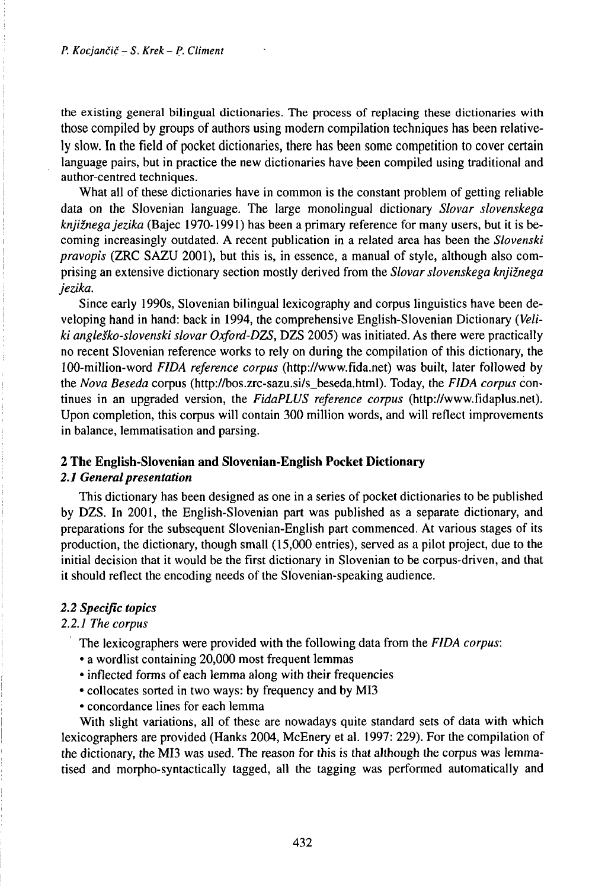the existing general bilingual dictionaries. The process of replacing these dictionaries with those compiled by groups of authors using modern compilation techniques has been relatively slow. In the field of pocket dictionaries, there has been some competition to cover certain language pairs, but in practice the new dictionaries have been compiled using traditional and author-centred techniques.

What all of these dictionaries have in common is the constant problem of getting reliable data on the Slovenian language. The large monolingual dictionary *Slovar slovenskega knjižnegajezika* (Bajec 1970-1991) has been a primary reference for many users, but it is becoming increasingly outdated. A recent publication in a related area has been the *Slovenski pravopis* (ZRC SAZU 2001), but this is, in essence, a manual of style, although also comprising an extensive dictionary section mostly derived from the *Slovarslovenskega knjižnega jezika.*

Since early 1990s, Slovenian bilingual lexicography and corpus linguistics have been developing hand in hand: back in 1994, the comprehensive English-Slovenian Dictionary *(Veliki angleško-slovenski slovar Oxford-DZS,* DZS 2005) was initiated. As there were practically no recent Slovenian reference works to rely on during the compilation of this dictionary, the 100-million-word *FIDA reference corpus* (http://www.fida.net) was built, later followed by the *Nova Beseda* corpus (http://bos.zrc-sazu.si/s\_beseda.html). Today, the *FIDA corpus* continues in an upgraded version, the *FidaPLUS reference corpus* (http://www.fidaplus.net). Upon completion, this corpus will contain 300 million words, and will reflect improvements in balance, lemmatisation and parsing.

## **2 The English-Slovenian and Slovenian-English Pocket Dictionary**

# 2.1 General presentation

This dictionary has been designed as one in a series of pocket dictionaries to be published by DZS. In 2001, the English-Slovenian part was published as a separate dictionary, and preparations for the subsequent Slovenian-English part commenced. At various stages of its production, the dictionary, though small (15,000 entries), served as a pilot project, due to the initial decision that it would be the first dictionary in Slovenian to be corpus-driven, and that it should reflect the encoding needs of the Slovenian-speaking audience.

## *2.2 Specific topics*

## *2.2.1 The corpus*

- The lexicographers were provided with the following data from the *FIDA corpus:*
- *•* a wordlist containing 20,000 most frequent lemmas
- inflected forms of each lemma along with their frequencies
- collocates sorted in two ways: by frequency and by MI3
- concordance lines for each lemma

With slight variations, all of these are nowadays quite standard sets of data with which lexicographers are provided (Hanks 2004, McEnery et al. 1997: 229). For the compilation of the dictionary, the MI3 was used. The reason for this is that although the corpus was lemmatised and morpho-syntactically tagged, all the tagging was performed automatically and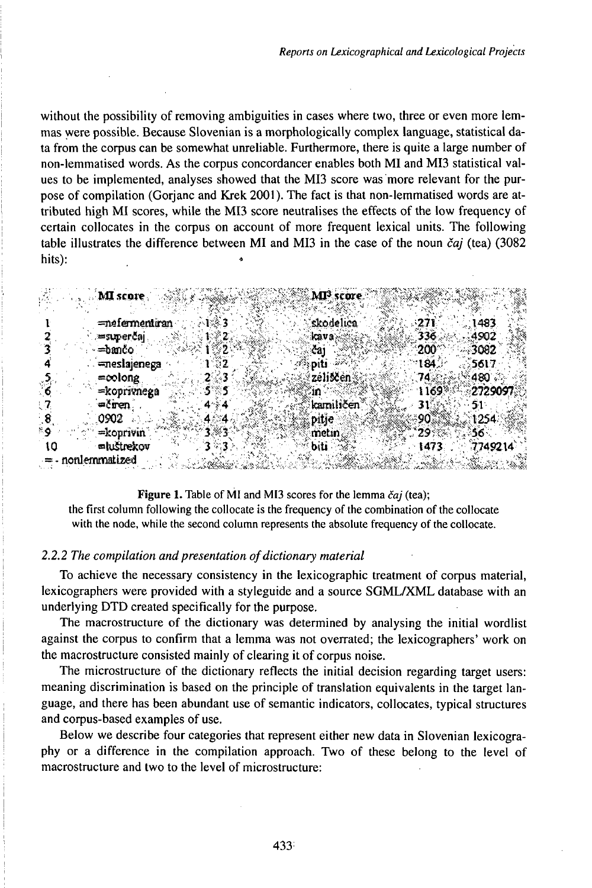without the possibility of removing ambiguities in cases where two, three or even more lemmas were possible. Because Slovenian is a morphologically complex language, statistical data from the corpus can be somewhat unreliable. Furthermore, there is quite a large number of non-lemmatised words. As the corpus concordancer enables both MI and MI3 statistical values to be implemented, analyses showed that the MI3 score was more relevant for the purpose of compilation (Gorianc and Krek 2001). The fact is that non-lemmatised words are attributed high MI scores, while the MI3 score neutralises the effects of the low frequency of certain collocates in the corpus on account of more frequent lexical units. The following table illustrates the difference between MI and MI3 in the case of the noun čaj (tea) (3082 hits):

|    | MI score                           |  | MI <sup>3</sup> score. |              |                   |
|----|------------------------------------|--|------------------------|--------------|-------------------|
|    | mefermentiran                      |  | 'skodelica             | :271         | 1483              |
|    | ≔superčaj<br>=bančo                |  | kava:<br>čai           | 336<br>200   | 4902<br>- 3002    |
|    | meslajenega                        |  | oiti                   | لنَـ184      | 5617              |
|    | $=$ colong<br>=koprivnega          |  | zeliscen.<br>ារ        | 74%<br>11693 | ୍480 ି<br>2729097 |
|    | $=$ čren<br>0902.                  |  | kamiličen<br>pitje     | 7<br>90      | 1254.             |
|    | $=$ konrivin                       |  | metin.                 | 29%          | 56.               |
| ιo | <b>mluštrekov</b><br>nonlemmatized |  | biti                   | 1473         | 7749214           |

Figure 1. Table of MI and MI3 scores for the lemma čaj (tea); the first column following the collocate is the frequency of the combination of the collocate

with the node, while the second column represents the absolute frequency of the collocate.

## 2.2.2 The compilation and presentation of dictionary material

To achieve the necessary consistency in the lexicographic treatment of corpus material, lexicographers were provided with a styleguide and a source SGML/XML database with an underlying DTD created specifically for the purpose.

The macrostructure of the dictionary was determined by analysing the initial wordlist against the corpus to confirm that a lemma was not overrated; the lexicographers' work on the macrostructure consisted mainly of clearing it of corpus noise.

The microstructure of the dictionary reflects the initial decision regarding target users: meaning discrimination is based on the principle of translation equivalents in the target language, and there has been abundant use of semantic indicators, collocates, typical structures and corpus-based examples of use.

Below we describe four categories that represent either new data in Slovenian lexicography or a difference in the compilation approach. Two of these belong to the level of macrostructure and two to the level of microstructure: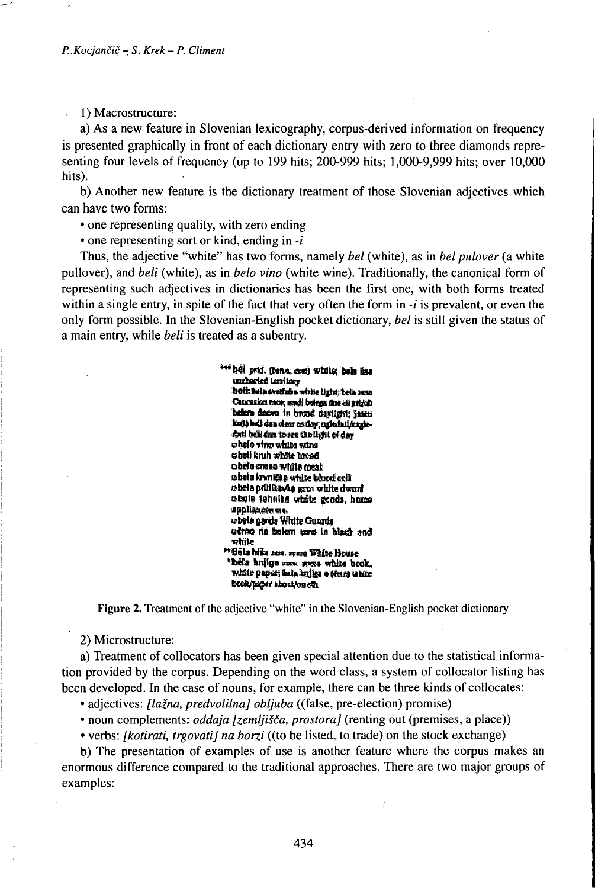. 1) Macrostructure:

a) As a new feature in Slovenian lexicography, corpus-derived information on frequency is presented graphically in front of each dictionary entry with zero to three diamonds representing four levels of frequency (up to 199 hits; 200-999 hits; 1,000-9,999 hits; over 10,000 hits).

b) Another new feature is the dictionary treatment of those Slovenian adjectives which can have two forms:

• one representing quality, with zero ending

• one representing sort or kind, ending in  $-i$ 

Thus, the adjective "white" has two forms, namely bel (white), as in bel pulover (a white pullover), and beli (white), as in belo vino (white wine). Traditionally, the canonical form of representing such adjectives in dictionaries has been the first one, with both forms treated within a single entry, in spite of the fact that very often the form in  $-i$  is prevalent, or even the only form possible. In the Slovenian-English pocket dictionary, bel is still given the status of a main entry, while beli is treated as a subentry.

> \*\*\* hdl prid. (bana, cori) white; bels liss uncharled Lerritory boli: bela svedaba white (jeht: bela susa Caucasian mex, and beings the air ativity believe deevo in brood daylight; Jasen kott) beli dan oleer es dort unbehalfendedati bell dan to see the light of day obelo vino white wing obeli kruh whate broad. obelo ansso white meat obeia krvnička utilos bibod cell obela pritikavka som white dwarf. obola tehnika white gends, home appliances on ubile gards White Guards ucheo na balem time in black and vhite \*Bêta hiša zan. 1111an Wilfe House bela kuiiga sun mezz white book, white paper; halo knika o terra white book/pager about/on sin

Figure 2. Treatment of the adjective "white" in the Slovenian-English pocket dictionary

2) Microstructure:

a) Treatment of collocators has been given special attention due to the statistical information provided by the corpus. Depending on the word class, a system of collocator listing has been developed. In the case of nouns, for example, there can be three kinds of collocates:

· adjectives: [lažna, predvolilna] obljuba ((false, pre-election) promise)

· noun complements: *oddaja [zemljišča, prostora]* (renting out (premises, a place))

• verbs: *[kotirati, trgovati] na borzi* ((to be listed, to trade) on the stock exchange)

b) The presentation of examples of use is another feature where the corpus makes an enormous difference compared to the traditional approaches. There are two major groups of examples: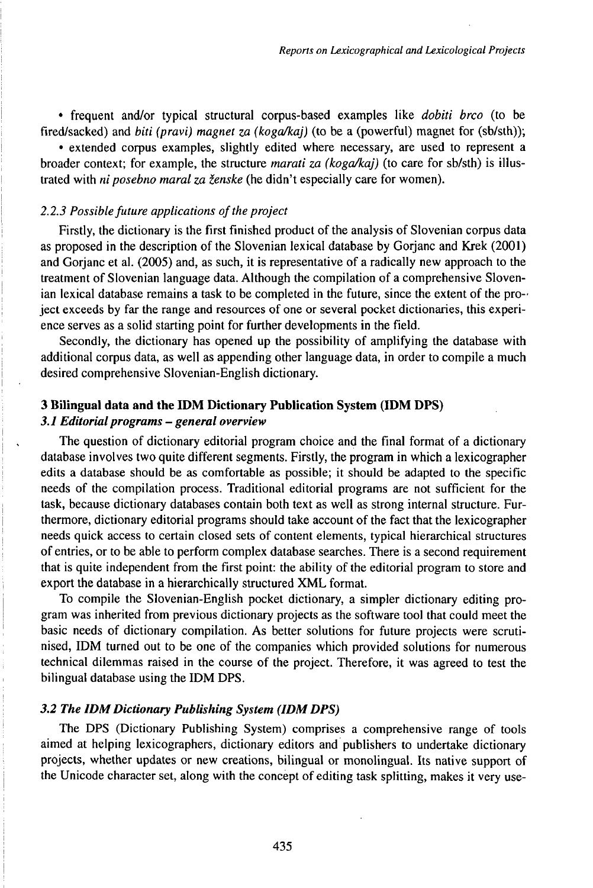• frequent and/or typical structural corpus-based examples like *dobiti brco* (to be fired/sacked) and *biti (pravi) magnet za (kogaMaj)* (to be a (powerful) magnet for (sb/sth));

• extended corpus examples, slightly edited where necessary, are used to represent a broader context; for example, the structure *marati za* (koga/kaj) (to care for sb/sth) is illustrated with *ni posebno maral za ženske* (he didn't especially care for women).

### 2.2.3 Possible future *applications* of the project

Firstly, the dictionary is the first finished product of the analysis of Slovenian corpus data as proposed in the description of the Slovenian lexical database by Gorjanc and Krek (2001) and Gorjanc et al. (2005) and, as such, it is representative of a radically new approach to the treatment of Slovenian language data. Although the compilation of a comprehensive Slovenian lexical database remains a task to be completed in the future, since the extent of the project exceeds by far the range and resources of one or several pocket dictionaries, this experience serves as a solid starting point for further developments in the field.

Secondly, the dictionary has opened up the possibility of amplifying the database with additional corpus data, as well as appending other language data, in order to compile a much desired comprehensive Slovenian-English dictionary.

# **3 Bilingual data and the IDM Dictionary Publication System (IDM DPS)** *3.1 Editorialprograms - general overview*

The question of dictionary editorial program choice and the final format of a dictionary database involves two quite different segments. Firstly, the program in which a lexicographer edits a database should be as comfortable as possible; it should be adapted to the specific needs of the compilation process. Traditional editorial programs are not sufficient for the task, because dictionary databases contain both text as well as strong internal structure. Furthermore, dictionary editorial programs should take account of the fact that the lexicographer needs quick access to certain closed sets of content elements, typical hierarchical structures of entries, or to be able to perform complex database searches. There is a second requirement that is quite independent from the first point: the ability of the editorial program to store and export the database in a hierarchically structured XML format.

To compile the Slovenian-English pocket dictionary, a simpler dictionary editing program was inherited from previous dictionary projects as the software tool that could meet the basic needs of dictionary compilation. As better solutions for future projects were scrutinised, IDM turned out to be one of the companies which provided solutions for numerous technical dilemmas raised in the course of the project. Therefore, it was agreed to test the bilingual database using the IDM DPS.

## *3.2 The IDMDictionary Publishing System (IDMDPS)*

The DPS (Dictionary Publishing System) comprises a comprehensive range of tools aimed at helping lexicographers, dictionary editors and publishers to undertake dictionary projects, whether updates or new creations, bilingual or monolingual. Its native support of the Unicode character set, along with the concept of editing task splitting, makes it very use-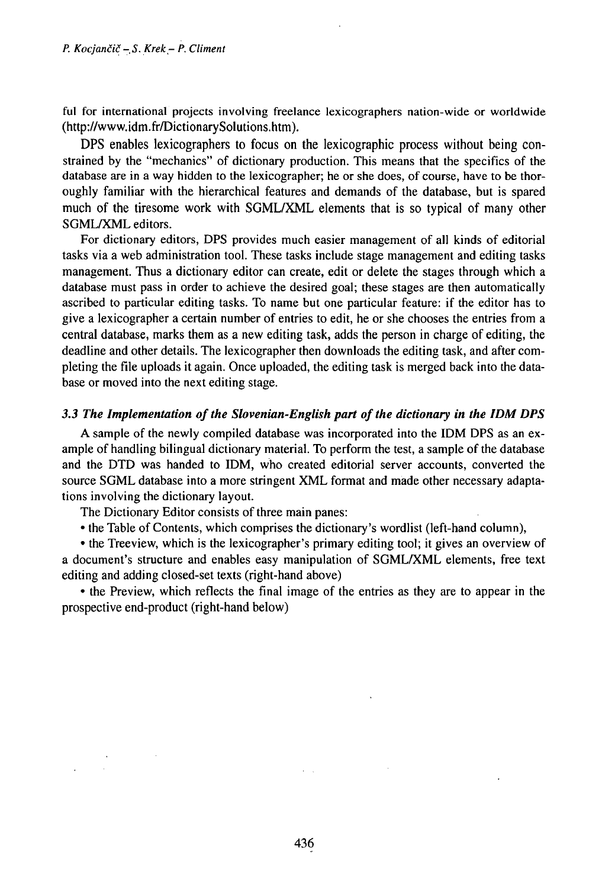ful for international projects involving freelance lexicographers nation-wide or worldwide (http://www.idm.fiVDictionarySolutions.htm).

DPS enables lexicographers to focus on the lexicographic process without being constrained by the "mechanics" of dictionary production. This means that the specifics of the database are in a way hidden to the lexicographer; he or she does, of course, have to be thoroughly familiar with the hierarchical features and demands of the database, but is spared much of the tiresome work with SGML/XML elements that is so typical of many other SGML/XML editors.

For dictionary editors, DPS provides much easier management of all kinds of editorial tasks via a web administration tool. These tasks include stage management and editing tasks management. Thus a dictionary editor can create, edit or delete the stages through which a database must pass in order to achieve the desired goal; these stages are then automatically ascribed to particular editing tasks. To name but one particular feature: if the editor has to give a lexicographer a certain number of entries to edit, he or she chooses the entries from a central database, marks them as a new editing task, adds the person in charge of editing, the deadline and other details. The lexicographer then downloads the editing task, and after completing the file uploads it again. Once uploaded, the editing task is merged back into the database or moved into the next editing stage.

# *3.3 The Implementation ofthe Slovenian-English part ofthe dictionary in the IDM DPS*

A sample of the newly compiled database was incorporated into the IDM DPS as an example of handling bilingual dictionary material. To perform the test, a sample of the database and the DTD was handed to IDM, who created editorial server accounts, converted the source SGML database into a more stringent XML format and made other necessary adaptations involving the dictionary layout.

The Dictionary Editor consists of three main panes:

• the Table of Contents, which comprises the dictionary's wordlist (left-hand column),

• the Treeview, which is the lexicographer's primary editing tool; it gives an overview of a document's structure and enables easy manipulation of SGML^CML elements, free text editing and adding closed-set texts (right-hand above)

• the Preview, which reflects the final image of the entries as they are to appear in the prospective end-product (right-hand below)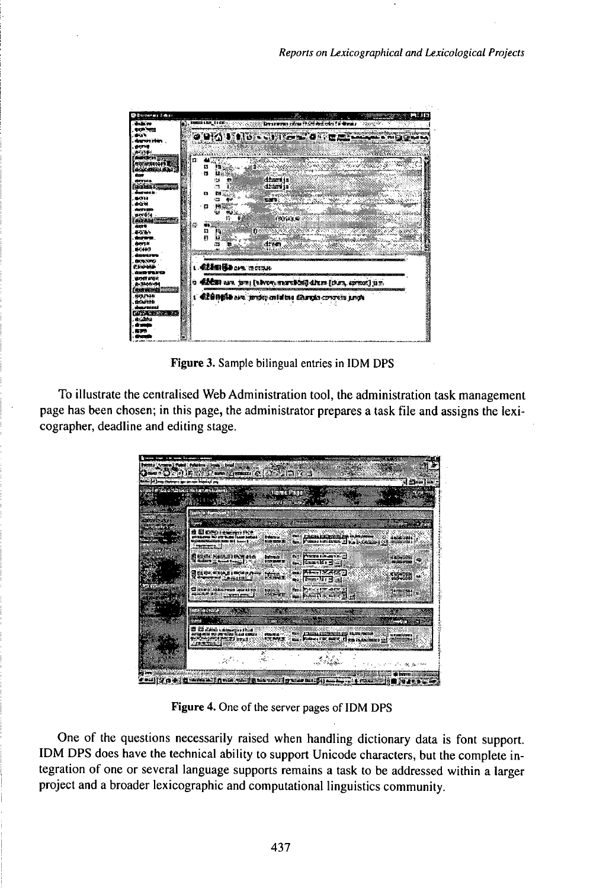

Figure 3. Sample bilingual entries in IDM DPS

To illustrate the centralised Web Administration tool, the administration task management page has been chosen; in this page, the administrator prepares a task file and assigns the lexicographer, deadline and editing stage.

|                                                                                        | <u>usata n</u>                                                          |                                                                                        |                          |
|----------------------------------------------------------------------------------------|-------------------------------------------------------------------------|----------------------------------------------------------------------------------------|--------------------------|
|                                                                                        |                                                                         |                                                                                        |                          |
|                                                                                        |                                                                         |                                                                                        |                          |
| <b>Ed Companies</b><br>accessive the perfects from before<br>National context point of | Enderson in<br><b>Existence dis</b>                                     | 1963 / Principal interference press an interference<br>Commissioners Head Commission   |                          |
| Первізналі Романа<br>Поміт Джанкі (195                                                 | BULL PRESENT FOR METAL AS<br>taben a :<br>100908-00708<br>s kaaske geen |                                                                                        | an an an a               |
| gries ens riecenes.<br>A <del>tempe</del> animal                                       | <b></b> <del>MENTZA</del><br>Kim.<br>as Frankright                      |                                                                                        | <b>1970 -</b>            |
| Waxaa shkaceen laa u ca<br>Advanced Managers supers pr                                 | Bookstate are Il<br>en.<br>Heriotza                                     | m hennaerna                                                                            |                          |
|                                                                                        |                                                                         |                                                                                        |                          |
| diam's comments                                                                        |                                                                         |                                                                                        |                          |
| magnes or excluding their contra                                                       | <b>RECEIVED</b>                                                         | A TANINA EXCREMINATE DID RANNE MANUAL<br>ma. Pollors FRC BOTT, if you in Americans re- | <b>AT \$3000 AAR 0.0</b> |

Figure 4. One of the server pages of IDM DPS

One of the questions necessarily raised when handling dictionary data is font support. IDM DPS does have the technical ability to support Unicode characters, but the complete integration of one or several language supports remains a task to be addressed within a larger project and a broader lexicographic and computational linguistics community.